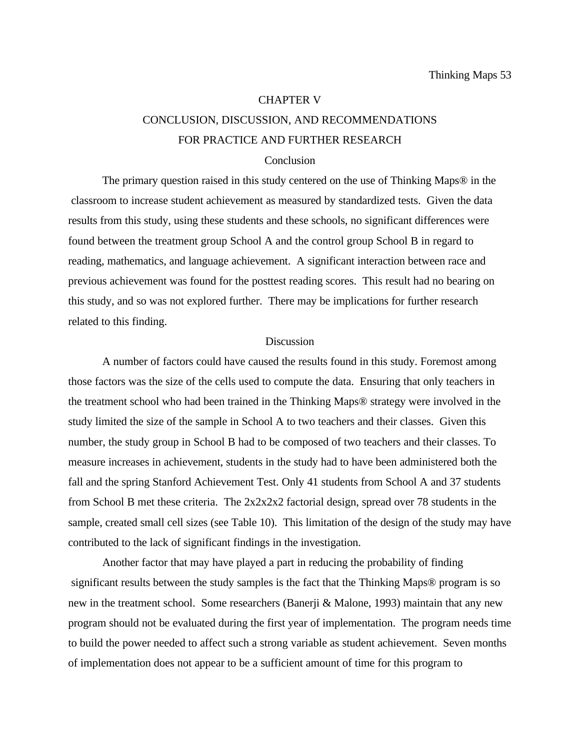# CHAPTER V CONCLUSION, DISCUSSION, AND RECOMMENDATIONS

# FOR PRACTICE AND FURTHER RESEARCH

## **Conclusion**

The primary question raised in this study centered on the use of Thinking Maps® in the classroom to increase student achievement as measured by standardized tests. Given the data results from this study, using these students and these schools, no significant differences were found between the treatment group School A and the control group School B in regard to reading, mathematics, and language achievement. A significant interaction between race and previous achievement was found for the posttest reading scores. This result had no bearing on this study, and so was not explored further. There may be implications for further research related to this finding.

## **Discussion**

A number of factors could have caused the results found in this study. Foremost among those factors was the size of the cells used to compute the data. Ensuring that only teachers in the treatment school who had been trained in the Thinking Maps® strategy were involved in the study limited the size of the sample in School A to two teachers and their classes. Given this number, the study group in School B had to be composed of two teachers and their classes. To measure increases in achievement, students in the study had to have been administered both the fall and the spring Stanford Achievement Test. Only 41 students from School A and 37 students from School B met these criteria. The 2x2x2x2 factorial design, spread over 78 students in the sample, created small cell sizes (see Table 10). This limitation of the design of the study may have contributed to the lack of significant findings in the investigation.

Another factor that may have played a part in reducing the probability of finding significant results between the study samples is the fact that the Thinking Maps® program is so new in the treatment school. Some researchers (Banerji & Malone, 1993) maintain that any new program should not be evaluated during the first year of implementation. The program needs time to build the power needed to affect such a strong variable as student achievement. Seven months of implementation does not appear to be a sufficient amount of time for this program to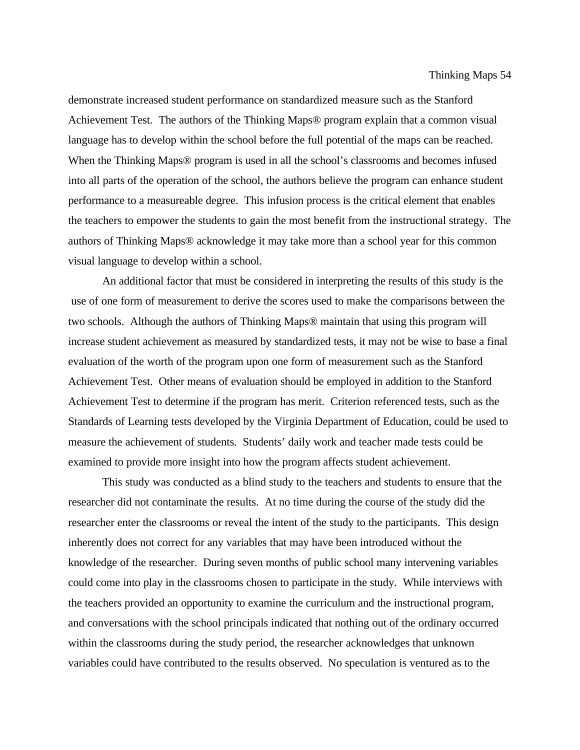#### Thinking Maps 54

demonstrate increased student performance on standardized measure such as the Stanford Achievement Test. The authors of the Thinking Maps® program explain that a common visual language has to develop within the school before the full potential of the maps can be reached. When the Thinking Maps® program is used in all the school's classrooms and becomes infused into all parts of the operation of the school, the authors believe the program can enhance student performance to a measureable degree. This infusion process is the critical element that enables the teachers to empower the students to gain the most benefit from the instructional strategy. The authors of Thinking Maps® acknowledge it may take more than a school year for this common visual language to develop within a school.

An additional factor that must be considered in interpreting the results of this study is the use of one form of measurement to derive the scores used to make the comparisons between the two schools. Although the authors of Thinking Maps® maintain that using this program will increase student achievement as measured by standardized tests, it may not be wise to base a final evaluation of the worth of the program upon one form of measurement such as the Stanford Achievement Test. Other means of evaluation should be employed in addition to the Stanford Achievement Test to determine if the program has merit. Criterion referenced tests, such as the Standards of Learning tests developed by the Virginia Department of Education, could be used to measure the achievement of students. Students' daily work and teacher made tests could be examined to provide more insight into how the program affects student achievement.

This study was conducted as a blind study to the teachers and students to ensure that the researcher did not contaminate the results. At no time during the course of the study did the researcher enter the classrooms or reveal the intent of the study to the participants. This design inherently does not correct for any variables that may have been introduced without the knowledge of the researcher. During seven months of public school many intervening variables could come into play in the classrooms chosen to participate in the study. While interviews with the teachers provided an opportunity to examine the curriculum and the instructional program, and conversations with the school principals indicated that nothing out of the ordinary occurred within the classrooms during the study period, the researcher acknowledges that unknown variables could have contributed to the results observed. No speculation is ventured as to the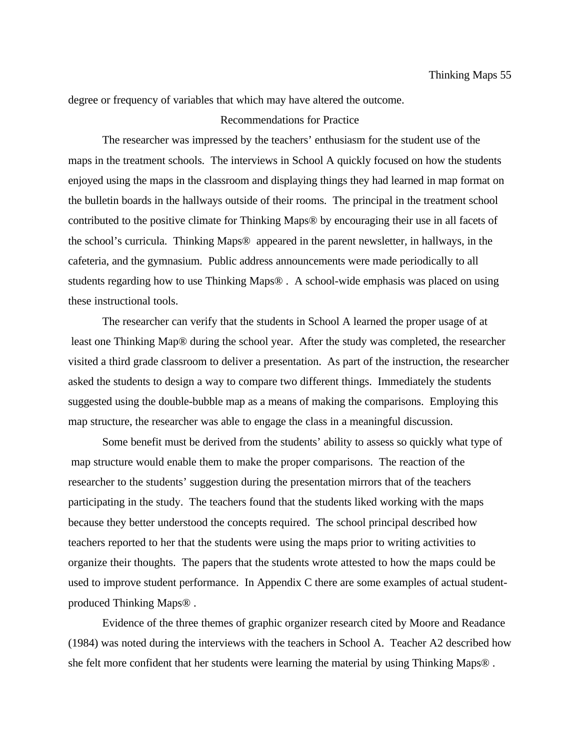degree or frequency of variables that which may have altered the outcome.

# Recommendations for Practice

The researcher was impressed by the teachers' enthusiasm for the student use of the maps in the treatment schools. The interviews in School A quickly focused on how the students enjoyed using the maps in the classroom and displaying things they had learned in map format on the bulletin boards in the hallways outside of their rooms. The principal in the treatment school contributed to the positive climate for Thinking Maps® by encouraging their use in all facets of the school's curricula. Thinking Maps® appeared in the parent newsletter, in hallways, in the cafeteria, and the gymnasium. Public address announcements were made periodically to all students regarding how to use Thinking Maps® . A school-wide emphasis was placed on using these instructional tools.

The researcher can verify that the students in School A learned the proper usage of at least one Thinking Map® during the school year. After the study was completed, the researcher visited a third grade classroom to deliver a presentation. As part of the instruction, the researcher asked the students to design a way to compare two different things. Immediately the students suggested using the double-bubble map as a means of making the comparisons. Employing this map structure, the researcher was able to engage the class in a meaningful discussion.

Some benefit must be derived from the students' ability to assess so quickly what type of map structure would enable them to make the proper comparisons. The reaction of the researcher to the students' suggestion during the presentation mirrors that of the teachers participating in the study. The teachers found that the students liked working with the maps because they better understood the concepts required. The school principal described how teachers reported to her that the students were using the maps prior to writing activities to organize their thoughts. The papers that the students wrote attested to how the maps could be used to improve student performance. In Appendix C there are some examples of actual studentproduced Thinking Maps® .

Evidence of the three themes of graphic organizer research cited by Moore and Readance (1984) was noted during the interviews with the teachers in School A. Teacher A2 described how she felt more confident that her students were learning the material by using Thinking Maps® .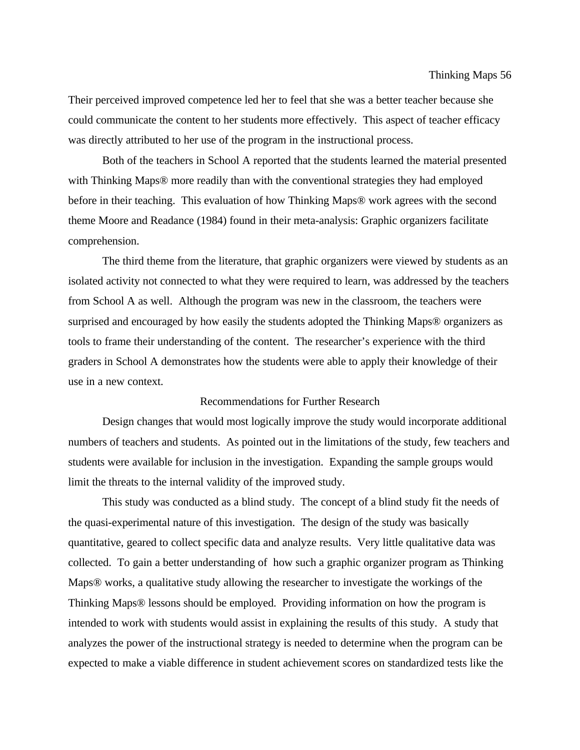Their perceived improved competence led her to feel that she was a better teacher because she could communicate the content to her students more effectively. This aspect of teacher efficacy was directly attributed to her use of the program in the instructional process.

Both of the teachers in School A reported that the students learned the material presented with Thinking Maps® more readily than with the conventional strategies they had employed before in their teaching. This evaluation of how Thinking Maps® work agrees with the second theme Moore and Readance (1984) found in their meta-analysis: Graphic organizers facilitate comprehension.

The third theme from the literature, that graphic organizers were viewed by students as an isolated activity not connected to what they were required to learn, was addressed by the teachers from School A as well. Although the program was new in the classroom, the teachers were surprised and encouraged by how easily the students adopted the Thinking Maps® organizers as tools to frame their understanding of the content. The researcher's experience with the third graders in School A demonstrates how the students were able to apply their knowledge of their use in a new context.

# Recommendations for Further Research

Design changes that would most logically improve the study would incorporate additional numbers of teachers and students. As pointed out in the limitations of the study, few teachers and students were available for inclusion in the investigation. Expanding the sample groups would limit the threats to the internal validity of the improved study.

This study was conducted as a blind study. The concept of a blind study fit the needs of the quasi-experimental nature of this investigation. The design of the study was basically quantitative, geared to collect specific data and analyze results. Very little qualitative data was collected. To gain a better understanding of how such a graphic organizer program as Thinking Maps® works, a qualitative study allowing the researcher to investigate the workings of the Thinking Maps® lessons should be employed. Providing information on how the program is intended to work with students would assist in explaining the results of this study. A study that analyzes the power of the instructional strategy is needed to determine when the program can be expected to make a viable difference in student achievement scores on standardized tests like the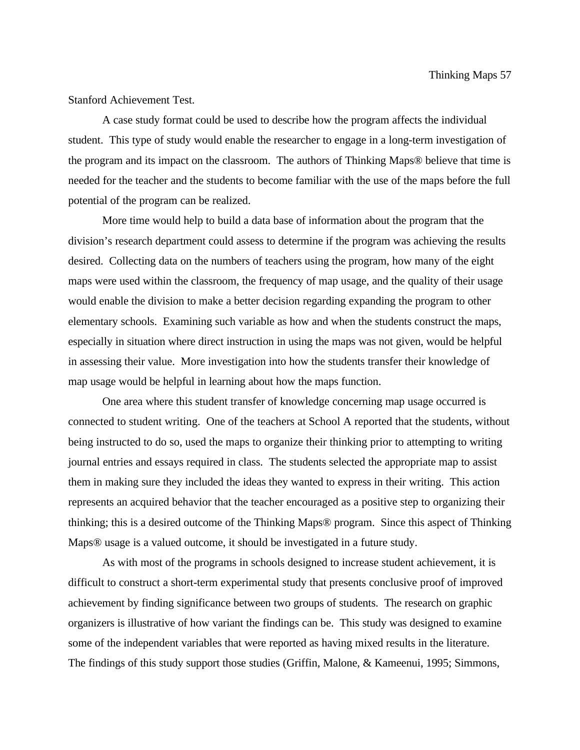# Stanford Achievement Test.

A case study format could be used to describe how the program affects the individual student. This type of study would enable the researcher to engage in a long-term investigation of the program and its impact on the classroom. The authors of Thinking Maps® believe that time is needed for the teacher and the students to become familiar with the use of the maps before the full potential of the program can be realized.

More time would help to build a data base of information about the program that the division's research department could assess to determine if the program was achieving the results desired. Collecting data on the numbers of teachers using the program, how many of the eight maps were used within the classroom, the frequency of map usage, and the quality of their usage would enable the division to make a better decision regarding expanding the program to other elementary schools. Examining such variable as how and when the students construct the maps, especially in situation where direct instruction in using the maps was not given, would be helpful in assessing their value. More investigation into how the students transfer their knowledge of map usage would be helpful in learning about how the maps function.

One area where this student transfer of knowledge concerning map usage occurred is connected to student writing. One of the teachers at School A reported that the students, without being instructed to do so, used the maps to organize their thinking prior to attempting to writing journal entries and essays required in class. The students selected the appropriate map to assist them in making sure they included the ideas they wanted to express in their writing. This action represents an acquired behavior that the teacher encouraged as a positive step to organizing their thinking; this is a desired outcome of the Thinking Maps® program. Since this aspect of Thinking Maps® usage is a valued outcome, it should be investigated in a future study.

As with most of the programs in schools designed to increase student achievement, it is difficult to construct a short-term experimental study that presents conclusive proof of improved achievement by finding significance between two groups of students. The research on graphic organizers is illustrative of how variant the findings can be. This study was designed to examine some of the independent variables that were reported as having mixed results in the literature. The findings of this study support those studies (Griffin, Malone, & Kameenui, 1995; Simmons,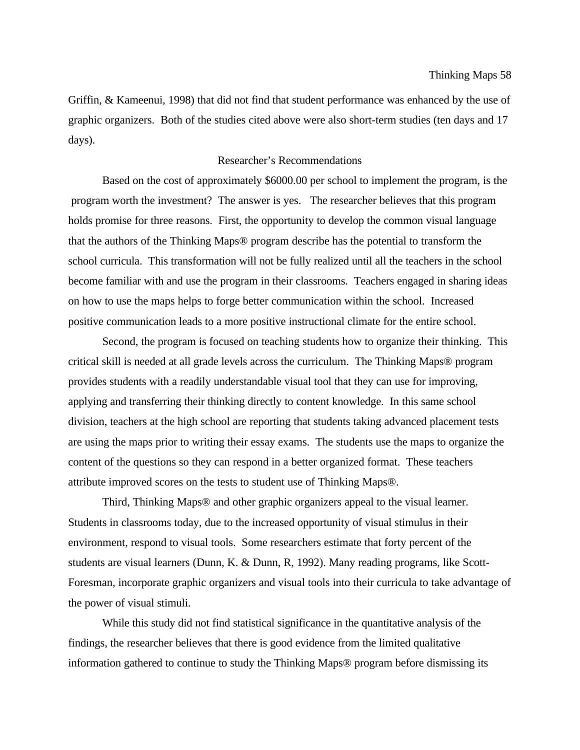Griffin, & Kameenui, 1998) that did not find that student performance was enhanced by the use of graphic organizers. Both of the studies cited above were also short-term studies (ten days and 17 days).

## Researcher's Recommendations

Based on the cost of approximately \$6000.00 per school to implement the program, is the program worth the investment? The answer is yes. The researcher believes that this program holds promise for three reasons. First, the opportunity to develop the common visual language that the authors of the Thinking Maps® program describe has the potential to transform the school curricula. This transformation will not be fully realized until all the teachers in the school become familiar with and use the program in their classrooms. Teachers engaged in sharing ideas on how to use the maps helps to forge better communication within the school. Increased positive communication leads to a more positive instructional climate for the entire school.

Second, the program is focused on teaching students how to organize their thinking. This critical skill is needed at all grade levels across the curriculum. The Thinking Maps® program provides students with a readily understandable visual tool that they can use for improving, applying and transferring their thinking directly to content knowledge. In this same school division, teachers at the high school are reporting that students taking advanced placement tests are using the maps prior to writing their essay exams. The students use the maps to organize the content of the questions so they can respond in a better organized format. These teachers attribute improved scores on the tests to student use of Thinking Maps®.

Third, Thinking Maps® and other graphic organizers appeal to the visual learner. Students in classrooms today, due to the increased opportunity of visual stimulus in their environment, respond to visual tools. Some researchers estimate that forty percent of the students are visual learners (Dunn, K. & Dunn, R, 1992). Many reading programs, like Scott-Foresman, incorporate graphic organizers and visual tools into their curricula to take advantage of the power of visual stimuli.

While this study did not find statistical significance in the quantitative analysis of the findings, the researcher believes that there is good evidence from the limited qualitative information gathered to continue to study the Thinking Maps® program before dismissing its